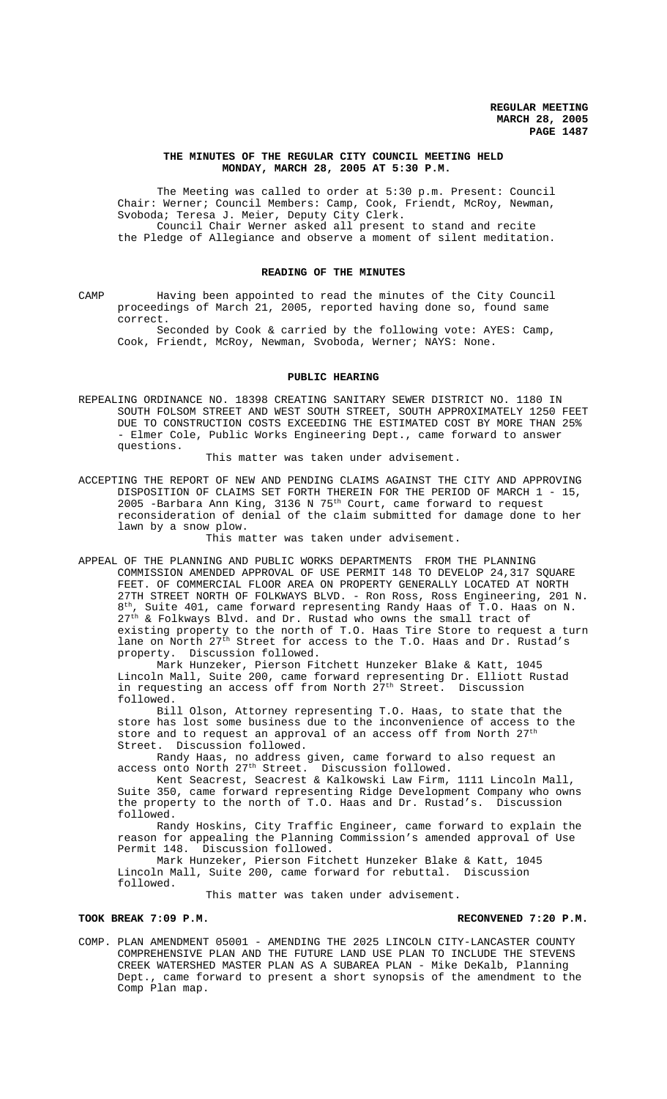# **THE MINUTES OF THE REGULAR CITY COUNCIL MEETING HELD MONDAY, MARCH 28, 2005 AT 5:30 P.M.**

The Meeting was called to order at 5:30 p.m. Present: Council Chair: Werner; Council Members: Camp, Cook, Friendt, McRoy, Newman, Svoboda; Teresa J. Meier, Deputy City Clerk. Council Chair Werner asked all present to stand and recite the Pledge of Allegiance and observe a moment of silent meditation.

#### **READING OF THE MINUTES**

CAMP Having been appointed to read the minutes of the City Council proceedings of March 21, 2005, reported having done so, found same correct.

Seconded by Cook & carried by the following vote: AYES: Camp, Cook, Friendt, McRoy, Newman, Svoboda, Werner; NAYS: None.

## **PUBLIC HEARING**

REPEALING ORDINANCE NO. 18398 CREATING SANITARY SEWER DISTRICT NO. 1180 IN SOUTH FOLSOM STREET AND WEST SOUTH STREET, SOUTH APPROXIMATELY 1250 FEET DUE TO CONSTRUCTION COSTS EXCEEDING THE ESTIMATED COST BY MORE THAN 25% - Elmer Cole, Public Works Engineering Dept., came forward to answer questions.

This matter was taken under advisement.

ACCEPTING THE REPORT OF NEW AND PENDING CLAIMS AGAINST THE CITY AND APPROVING DISPOSITION OF CLAIMS SET FORTH THEREIN FOR THE PERIOD OF MARCH 1 - 15, 2005 -Barbara Ann King, 3136 N 75th Court, came forward to request reconsideration of denial of the claim submitted for damage done to her lawn by a snow plow.

# This matter was taken under advisement.

APPEAL OF THE PLANNING AND PUBLIC WORKS DEPARTMENTS FROM THE PLANNING COMMISSION AMENDED APPROVAL OF USE PERMIT 148 TO DEVELOP 24,317 SQUARE FEET. OF COMMERCIAL FLOOR AREA ON PROPERTY GENERALLY LOCATED AT NORTH 27TH STREET NORTH OF FOLKWAYS BLVD. - Ron Ross, Ross Engineering, 201 N. 8th, Suite 401, came forward representing Randy Haas of T.O. Haas on N. 27<sup>th</sup> & Folkways Blvd. and Dr. Rustad who owns the small tract of existing property to the north of T.O. Haas Tire Store to request a turn lane on North 27<sup>th</sup> Street for access to the T.O. Haas and Dr. Rustad's property. Discussion followed.

Mark Hunzeker, Pierson Fitchett Hunzeker Blake & Katt, 1045 Lincoln Mall, Suite 200, came forward representing Dr. Elliott Rustad in requesting an access off from North 27<sup>th</sup> Street. Discussion followed.

Bill Olson, Attorney representing T.O. Haas, to state that the store has lost some business due to the inconvenience of access to the store and to request an approval of an access off from North 27<sup>th</sup> Street. Discussion followed.

Randy Haas, no address given, came forward to also request an access onto North 27<sup>th</sup> Street. Discussion followed.

Kent Seacrest, Seacrest & Kalkowski Law Firm, 1111 Lincoln Mall, Suite 350, came forward representing Ridge Development Company who owns the property to the north of T.O. Haas and Dr. Rustad's. Discussion followed.

Randy Hoskins, City Traffic Engineer, came forward to explain the reason for appealing the Planning Commission's amended approval of Use Permit 148. Discussion followed.

Mark Hunzeker, Pierson Fitchett Hunzeker Blake & Katt, 1045 Lincoln Mall, Suite 200, came forward for rebuttal. Discussion followed.

This matter was taken under advisement.

## **TOOK BREAK 7:09 P.M. RECONVENED 7:20 P.M.**

COMP. PLAN AMENDMENT 05001 - AMENDING THE 2025 LINCOLN CITY-LANCASTER COUNTY COMPREHENSIVE PLAN AND THE FUTURE LAND USE PLAN TO INCLUDE THE STEVENS CREEK WATERSHED MASTER PLAN AS A SUBAREA PLAN - Mike DeKalb, Planning Dept., came forward to present a short synopsis of the amendment to the Comp Plan map.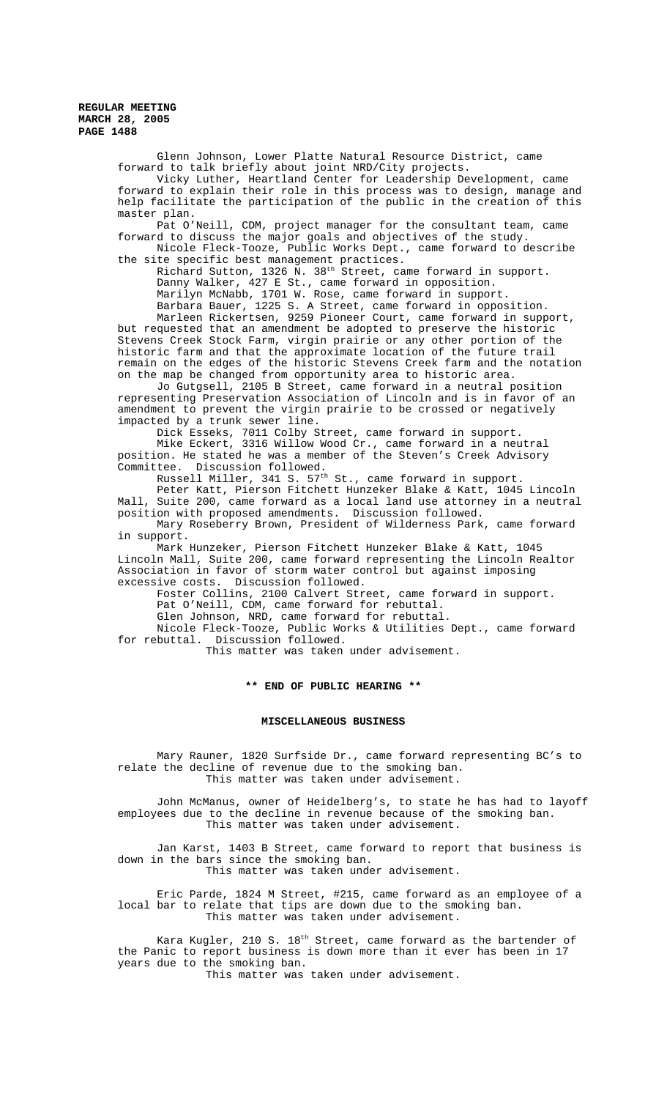Glenn Johnson, Lower Platte Natural Resource District, came forward to talk briefly about joint NRD/City projects. Vicky Luther, Heartland Center for Leadership Development, came forward to explain their role in this process was to design, manage and help facilitate the participation of the public in the creation of this master plan. Pat O'Neill, CDM, project manager for the consultant team, came forward to discuss the major goals and objectives of the study. Nicole Fleck-Tooze, Public Works Dept., came forward to describe the site specific best management practices. Richard Sutton, 1326 N. 38<sup>th</sup> Street, came forward in support. Danny Walker, 427 E St., came forward in opposition. Marilyn McNabb, 1701 W. Rose, came forward in support. Barbara Bauer, 1225 S. A Street, came forward in opposition. Marleen Rickertsen, 9259 Pioneer Court, came forward in support, but requested that an amendment be adopted to preserve the historic Stevens Creek Stock Farm, virgin prairie or any other portion of the historic farm and that the approximate location of the future trail remain on the edges of the historic Stevens Creek farm and the notation on the map be changed from opportunity area to historic area. Jo Gutgsell, 2105 B Street, came forward in a neutral position representing Preservation Association of Lincoln and is in favor of an amendment to prevent the virgin prairie to be crossed or negatively impacted by a trunk sewer line. Dick Esseks, 7011 Colby Street, came forward in support. Mike Eckert, 3316 Willow Wood Cr., came forward in a neutral position. He stated he was a member of the Steven's Creek Advisory Committee. Discussion followed. Russell Miller, 341 S. 57<sup>th</sup> St., came forward in support. Peter Katt, Pierson Fitchett Hunzeker Blake & Katt, 1045 Lincoln Mall, Suite 200, came forward as a local land use attorney in a neutral position with proposed amendments. Discussion followed. Mary Roseberry Brown, President of Wilderness Park, came forward in support. Mark Hunzeker, Pierson Fitchett Hunzeker Blake & Katt, 1045 Lincoln Mall, Suite 200, came forward representing the Lincoln Realtor Association in favor of storm water control but against imposing excessive costs. Discussion followed. Foster Collins, 2100 Calvert Street, came forward in support. Pat O'Neill, CDM, came forward for rebuttal. Glen Johnson, NRD, came forward for rebuttal. Nicole Fleck-Tooze, Public Works & Utilities Dept., came forward for rebuttal. Discussion followed. This matter was taken under advisement. **\*\* END OF PUBLIC HEARING \*\* MISCELLANEOUS BUSINESS** Mary Rauner, 1820 Surfside Dr., came forward representing BC's to relate the decline of revenue due to the smoking ban. This matter was taken under advisement.

John McManus, owner of Heidelberg's, to state he has had to layoff employees due to the decline in revenue because of the smoking ban. This matter was taken under advisement.

Jan Karst, 1403 B Street, came forward to report that business is down in the bars since the smoking ban. This matter was taken under advisement.

Eric Parde, 1824 M Street, #215, came forward as an employee of a local bar to relate that tips are down due to the smoking ban. This matter was taken under advisement.

Kara Kugler, 210 S. 18<sup>th</sup> Street, came forward as the bartender of the Panic to report business is down more than it ever has been in 17 years due to the smoking ban.

This matter was taken under advisement.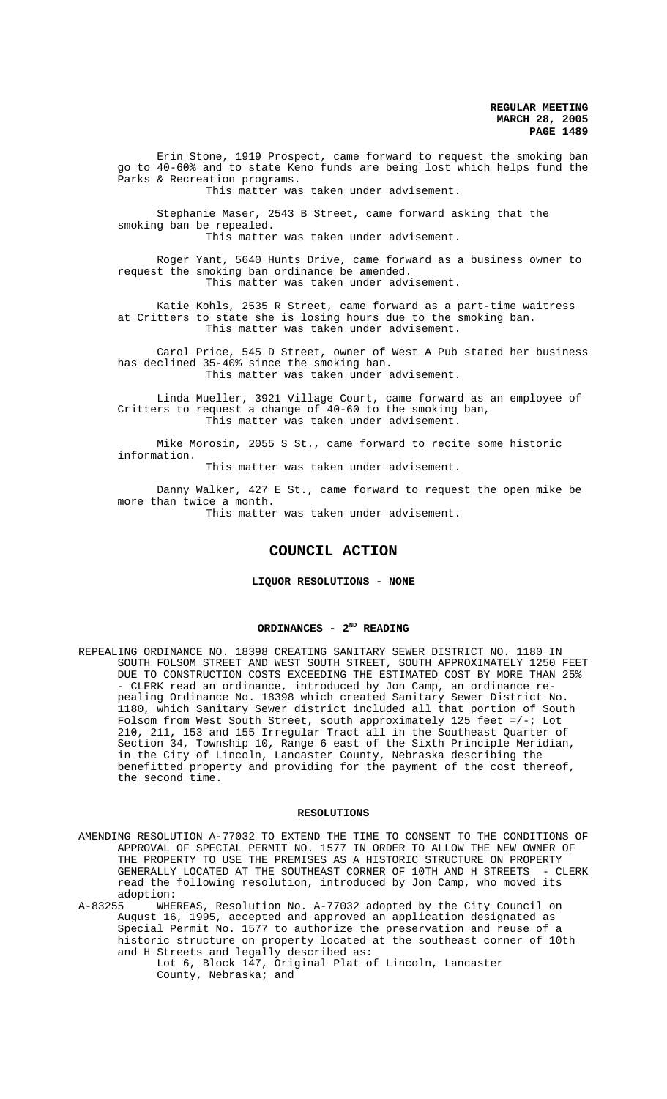Erin Stone, 1919 Prospect, came forward to request the smoking ban go to 40-60% and to state Keno funds are being lost which helps fund the Parks & Recreation programs.

This matter was taken under advisement.

Stephanie Maser, 2543 B Street, came forward asking that the smoking ban be repealed.

This matter was taken under advisement.

Roger Yant, 5640 Hunts Drive, came forward as a business owner to request the smoking ban ordinance be amended. This matter was taken under advisement.

Katie Kohls, 2535 R Street, came forward as a part-time waitress at Critters to state she is losing hours due to the smoking ban. This matter was taken under advisement.

Carol Price, 545 D Street, owner of West A Pub stated her business has declined 35-40% since the smoking ban. This matter was taken under advisement.

Linda Mueller, 3921 Village Court, came forward as an employee of Critters to request a change of 40-60 to the smoking ban, This matter was taken under advisement.

Mike Morosin, 2055 S St., came forward to recite some historic information.

This matter was taken under advisement.

Danny Walker, 427 E St., came forward to request the open mike be more than twice a month.

This matter was taken under advisement.

# **COUNCIL ACTION**

# **LIQUOR RESOLUTIONS - NONE**

# **ORDINANCES - 2ND READING**

REPEALING ORDINANCE NO. 18398 CREATING SANITARY SEWER DISTRICT NO. 1180 IN SOUTH FOLSOM STREET AND WEST SOUTH STREET, SOUTH APPROXIMATELY 1250 FEET DUE TO CONSTRUCTION COSTS EXCEEDING THE ESTIMATED COST BY MORE THAN 25% - CLERK read an ordinance, introduced by Jon Camp, an ordinance repealing Ordinance No. 18398 which created Sanitary Sewer District No. 1180, which Sanitary Sewer district included all that portion of South Folsom from West South Street, south approximately 125 feet  $=/-$ ; Lot 210, 211, 153 and 155 Irregular Tract all in the Southeast Quarter of Section 34, Township 10, Range 6 east of the Sixth Principle Meridian, in the City of Lincoln, Lancaster County, Nebraska describing the benefitted property and providing for the payment of the cost thereof, the second time.

## **RESOLUTIONS**

AMENDING RESOLUTION A-77032 TO EXTEND THE TIME TO CONSENT TO THE CONDITIONS OF APPROVAL OF SPECIAL PERMIT NO. 1577 IN ORDER TO ALLOW THE NEW OWNER OF THE PROPERTY TO USE THE PREMISES AS A HISTORIC STRUCTURE ON PROPERTY GENERALLY LOCATED AT THE SOUTHEAST CORNER OF 10TH AND H STREETS - CLERK read the following resolution, introduced by Jon Camp, who moved its adoption:<br>A-83255 WHE

WHEREAS, Resolution No. A-77032 adopted by the City Council on August 16, 1995, accepted and approved an application designated as Special Permit No. 1577 to authorize the preservation and reuse of a historic structure on property located at the southeast corner of 10th and H Streets and legally described as:

Lot 6, Block 147, Original Plat of Lincoln, Lancaster County, Nebraska; and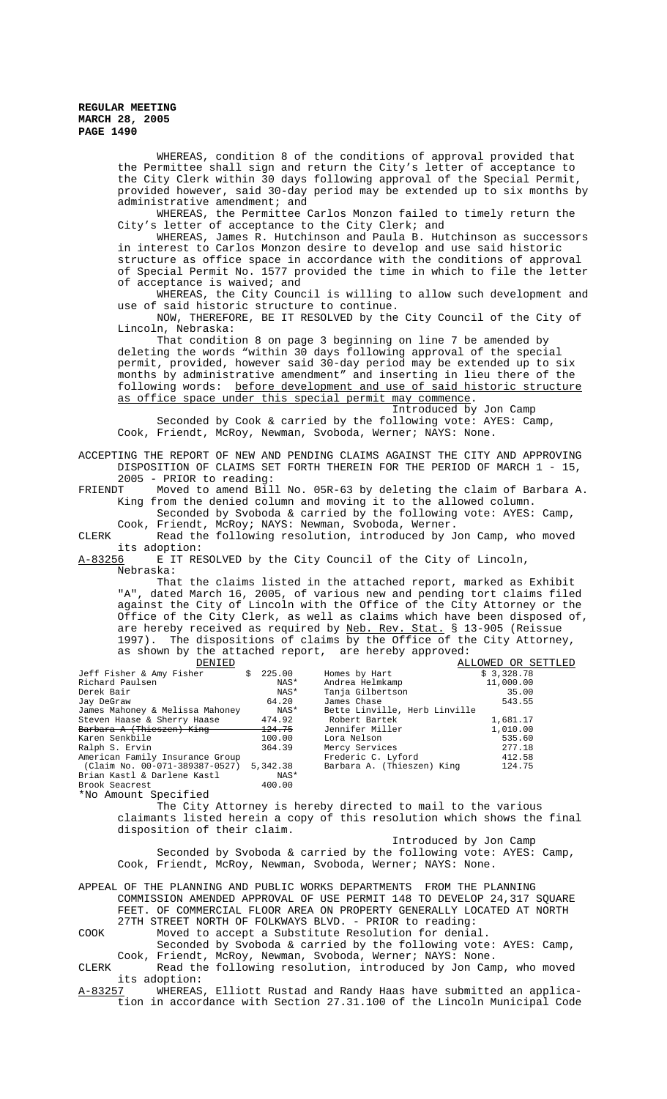> WHEREAS, condition 8 of the conditions of approval provided that the Permittee shall sign and return the City's letter of acceptance to the City Clerk within 30 days following approval of the Special Permit, provided however, said 30-day period may be extended up to six months by administrative amendment; and

WHEREAS, the Permittee Carlos Monzon failed to timely return the City's letter of acceptance to the City Clerk; and

WHEREAS, James R. Hutchinson and Paula B. Hutchinson as successors in interest to Carlos Monzon desire to develop and use said historic structure as office space in accordance with the conditions of approval of Special Permit No. 1577 provided the time in which to file the letter of acceptance is waived; and

WHEREAS, the City Council is willing to allow such development and use of said historic structure to continue.

NOW, THEREFORE, BE IT RESOLVED by the City Council of the City of Lincoln, Nebraska:

That condition 8 on page 3 beginning on line 7 be amended by deleting the words "within 30 days following approval of the special permit, provided, however said 30-day period may be extended up to six months by administrative amendment" and inserting in lieu there of the following words: before development and use of said historic structure as office space under this special permit may commence.

Introduced by Jon Camp Seconded by Cook & carried by the following vote: AYES: Camp, Cook, Friendt, McRoy, Newman, Svoboda, Werner; NAYS: None.

ACCEPTING THE REPORT OF NEW AND PENDING CLAIMS AGAINST THE CITY AND APPROVING DISPOSITION OF CLAIMS SET FORTH THEREIN FOR THE PERIOD OF MARCH 1 - 15, 2005 - PRIOR to reading:

FRIENDT Moved to amend Bill No. 05R-63 by deleting the claim of Barbara A. King from the denied column and moving it to the allowed column.

Seconded by Svoboda & carried by the following vote: AYES: Camp, Cook, Friendt, McRoy; NAYS: Newman, Svoboda, Werner.

CLERK Read the following resolution, introduced by Jon Camp, who moved its adoption:<br><u>A-83256</u> E IT RE:

E IT RESOLVED by the City Council of the City of Lincoln, Nebraska:

That the claims listed in the attached report, marked as Exhibit "A", dated March 16, 2005, of various new and pending tort claims filed against the City of Lincoln with the Office of the City Attorney or the Office of the City Clerk, as well as claims which have been disposed of, are hereby received as required by <u>Neb. Rev. Stat.</u> § 13-905 (Reissue are hereby received as required by Neb. Rev. 1997). The dispositions of claims by the Office of the City Attorney, as shown by the attached report, are hereby approved:<br> $\frac{1}{2}$ DENIED ALLOWED OR SETTLED

| ◡∸∸∼                            |                   |                               | AUUVNUD OR DUIITUU |
|---------------------------------|-------------------|-------------------------------|--------------------|
| Jeff Fisher & Amy Fisher        | 225.00<br>Ŝ.      | Homes by Hart                 | \$3,328.78         |
| Richard Paulsen                 | NAS*              | Andrea Helmkamp               | 11,000.00          |
| Derek Bair                      | NAS*              | Tanja Gilbertson              | 35.00              |
| Jay DeGraw                      | 64.20             | James Chase                   | 543.55             |
| James Mahoney & Melissa Mahoney | NAS*              | Bette Linville, Herb Linville |                    |
| Steven Haase & Sherry Haase     | 474.92            | Robert Bartek                 | 1,681.17           |
| Barbara A (Thieszen) King       | <del>124.75</del> | Jennifer Miller               | 1,010.00           |
| Karen Senkbile                  | 100.00            | Lora Nelson                   | 535.60             |
| Ralph S. Ervin                  | 364.39            | Mercy Services                | 277.18             |
| American Family Insurance Group |                   | Frederic C. Lyford            | 412.58             |
| (Claim No. 00-071-389387-0527)  | 5,342.38          | Barbara A. (Thieszen) King    | 124.75             |
| Brian Kastl & Darlene Kastl     | NAS*              |                               |                    |
| Brook Seacrest                  | 400.00            |                               |                    |
| *No Amount Specified            |                   |                               |                    |
|                                 |                   |                               |                    |

The City Attorney is hereby directed to mail to the various claimants listed herein a copy of this resolution which shows the final disposition of their claim.

Introduced by Jon Camp Seconded by Svoboda & carried by the following vote: AYES: Camp, Cook, Friendt, McRoy, Newman, Svoboda, Werner; NAYS: None.

APPEAL OF THE PLANNING AND PUBLIC WORKS DEPARTMENTS FROM THE PLANNING COMMISSION AMENDED APPROVAL OF USE PERMIT 148 TO DEVELOP 24,317 SQUARE FEET. OF COMMERCIAL FLOOR AREA ON PROPERTY GENERALLY LOCATED AT NORTH 27TH STREET NORTH OF FOLKWAYS BLVD. - PRIOR to reading:

COOK Moved to accept a Substitute Resolution for denial.

Seconded by Svoboda & carried by the following vote: AYES: Camp, Cook, Friendt, McRoy, Newman, Svoboda, Werner; NAYS: None.

CLERK Read the following resolution, introduced by Jon Camp, who moved its adoption:<br><u>A-83257</u> WHEREAS,

WHEREAS, Elliott Rustad and Randy Haas have submitted an application in accordance with Section 27.31.100 of the Lincoln Municipal Code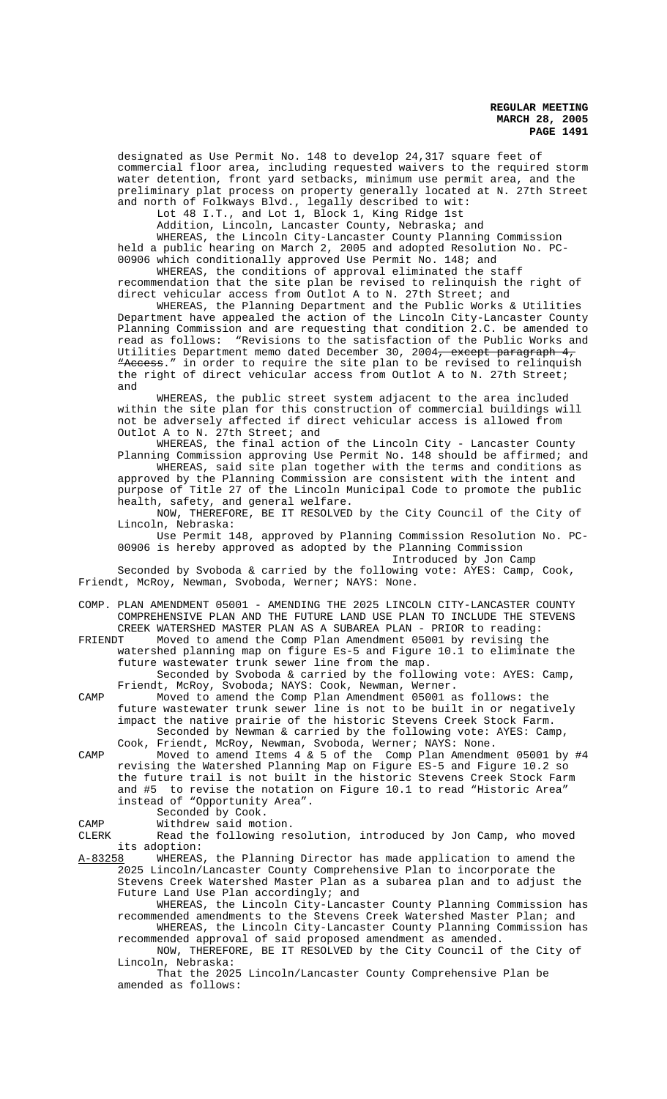designated as Use Permit No. 148 to develop 24,317 square feet of commercial floor area, including requested waivers to the required storm water detention, front yard setbacks, minimum use permit area, and the preliminary plat process on property generally located at N. 27th Street and north of Folkways Blvd., legally described to wit:

Lot 48 I.T., and Lot 1, Block 1, King Ridge 1st

Addition, Lincoln, Lancaster County, Nebraska; and WHEREAS, the Lincoln City-Lancaster County Planning Commission held a public hearing on March 2, 2005 and adopted Resolution No. PC-00906 which conditionally approved Use Permit No. 148; and

WHEREAS, the conditions of approval eliminated the staff recommendation that the site plan be revised to relinquish the right of direct vehicular access from Outlot A to N. 27th Street; and

WHEREAS, the Planning Department and the Public Works & Utilities Department have appealed the action of the Lincoln City-Lancaster County Planning Commission and are requesting that condition 2.C. be amended to read as follows: "Revisions to the satisfaction of the Public Works and Utilities Department memo dated December 30, 2004<del>, except paragraph 4,</del> "Access." in order to require the site plan to be revised to relinquish the right of direct vehicular access from Outlot A to N. 27th Street; and

WHEREAS, the public street system adjacent to the area included within the site plan for this construction of commercial buildings will not be adversely affected if direct vehicular access is allowed from Outlot A to N. 27th Street; and

WHEREAS, the final action of the Lincoln City - Lancaster County Planning Commission approving Use Permit No. 148 should be affirmed; and

WHEREAS, said site plan together with the terms and conditions as approved by the Planning Commission are consistent with the intent and purpose of Title 27 of the Lincoln Municipal Code to promote the public health, safety, and general welfare.

NOW, THEREFORE, BE IT RESOLVED by the City Council of the City of Lincoln, Nebraska:

Use Permit 148, approved by Planning Commission Resolution No. PC-00906 is hereby approved as adopted by the Planning Commission

Introduced by Jon Camp

Seconded by Svoboda & carried by the following vote: AYES: Camp, Cook, Friendt, McRoy, Newman, Svoboda, Werner; NAYS: None.

COMP. PLAN AMENDMENT 05001 - AMENDING THE 2025 LINCOLN CITY-LANCASTER COUNTY COMPREHENSIVE PLAN AND THE FUTURE LAND USE PLAN TO INCLUDE THE STEVENS CREEK WATERSHED MASTER PLAN AS A SUBAREA PLAN - PRIOR to reading:

FRIENDT Moved to amend the Comp Plan Amendment 05001 by revising the watershed planning map on figure Es-5 and Figure 10.1 to eliminate the future wastewater trunk sewer line from the map.

Seconded by Svoboda & carried by the following vote: AYES: Camp, Friendt, McRoy, Svoboda; NAYS: Cook, Newman, Werner.

CAMP Moved to amend the Comp Plan Amendment 05001 as follows: the future wastewater trunk sewer line is not to be built in or negatively impact the native prairie of the historic Stevens Creek Stock Farm. Seconded by Newman & carried by the following vote: AYES: Camp, Cook, Friendt, McRoy, Newman, Svoboda, Werner; NAYS: None.

CAMP Moved to amend Items 4 & 5 of the Comp Plan Amendment 05001 by #4 revising the Watershed Planning Map on Figure ES-5 and Figure 10.2 so the future trail is not built in the historic Stevens Creek Stock Farm and #5 to revise the notation on Figure 10.1 to read "Historic Area" instead of "Opportunity Area".

Seconded by Cook.

CAMP Withdrew said motion.<br>CLERK Read the following re

Read the following resolution, introduced by Jon Camp, who moved its adoption:<br>A-83258 WHEREAS

WHEREAS, the Planning Director has made application to amend the 2025 Lincoln/Lancaster County Comprehensive Plan to incorporate the Stevens Creek Watershed Master Plan as a subarea plan and to adjust the Future Land Use Plan accordingly; and

WHEREAS, the Lincoln City-Lancaster County Planning Commission has recommended amendments to the Stevens Creek Watershed Master Plan; and WHEREAS, the Lincoln City-Lancaster County Planning Commission has

recommended approval of said proposed amendment as amended. NOW, THEREFORE, BE IT RESOLVED by the City Council of the City of Lincoln, Nebraska:

That the 2025 Lincoln/Lancaster County Comprehensive Plan be amended as follows: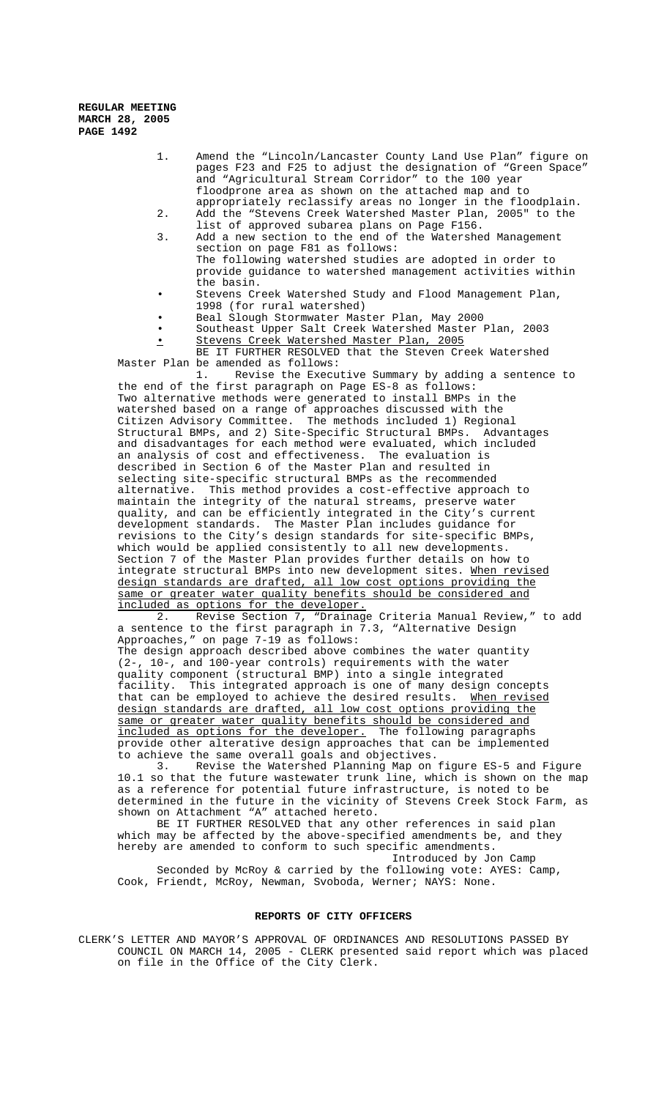- 1. Amend the "Lincoln/Lancaster County Land Use Plan" figure on pages F23 and F25 to adjust the designation of "Green Space" and "Agricultural Stream Corridor" to the 100 year floodprone area as shown on the attached map and to appropriately reclassify areas no longer in the floodplain.
- 2. Add the "Stevens Creek Watershed Master Plan, 2005" to the list of approved subarea plans on Page F156.
- 3. Add a new section to the end of the Watershed Management section on page F81 as follows: The following watershed studies are adopted in order to provide guidance to watershed management activities within the basin.
- Stevens Creek Watershed Study and Flood Management Plan, 1998 (for rural watershed)
- Beal Slough Stormwater Master Plan, May 2000
- Southeast Upper Salt Creek Watershed Master Plan, 2003
- Stevens Creek Watershed Master Plan, 2005

BE IT FURTHER RESOLVED that the Steven Creek Watershed Master Plan be amended as follows:<br>1. Revise the Execu

Revise the Executive Summary by adding a sentence to the end of the first paragraph on Page ES-8 as follows: Two alternative methods were generated to install BMPs in the watershed based on a range of approaches discussed with the Citizen Advisory Committee. The methods included 1) Regional Structural BMPs, and 2) Site-Specific Structural BMPs. Advantages and disadvantages for each method were evaluated, which included an analysis of cost and effectiveness. The evaluation is described in Section 6 of the Master Plan and resulted in selecting site-specific structural BMPs as the recommended alternative. This method provides a cost-effective approach to maintain the integrity of the natural streams, preserve water quality, and can be efficiently integrated in the City's current development standards. The Master Plan includes guidance for revisions to the City's design standards for site-specific BMPs, which would be applied consistently to all new developments. Section 7 of the Master Plan provides further details on how to integrate structural BMPs into new development sites. When revised design standards are drafted, all low cost options providing the same or greater water quality benefits should be considered and included as options for the developer.

 2. Revise Section 7, "Drainage Criteria Manual Review," to add a sentence to the first paragraph in 7.3, "Alternative Design Approaches," on page 7-19 as follows:

The design approach described above combines the water quantity (2-, 10-, and 100-year controls) requirements with the water quality component (structural BMP) into a single integrated facility. This integrated approach is one of many design concepts that can be employed to achieve the desired results. When revised design standards are drafted, all low cost options providing the same or greater water quality benefits should be considered and included as options for the developer. The following paragraphs included as options for the developer. provide other alterative design approaches that can be implemented to achieve the same overall goals and objectives.

3. Revise the Watershed Planning Map on figure ES-5 and Figure 10.1 so that the future wastewater trunk line, which is shown on the map as a reference for potential future infrastructure, is noted to be determined in the future in the vicinity of Stevens Creek Stock Farm, as shown on Attachment "A" attached hereto.

BE IT FURTHER RESOLVED that any other references in said plan which may be affected by the above-specified amendments be, and they hereby are amended to conform to such specific amendments.

Introduced by Jon Camp Seconded by McRoy & carried by the following vote: AYES: Camp, Cook, Friendt, McRoy, Newman, Svoboda, Werner; NAYS: None.

### **REPORTS OF CITY OFFICERS**

CLERK'S LETTER AND MAYOR'S APPROVAL OF ORDINANCES AND RESOLUTIONS PASSED BY COUNCIL ON MARCH 14, 2005 - CLERK presented said report which was placed on file in the Office of the City Clerk.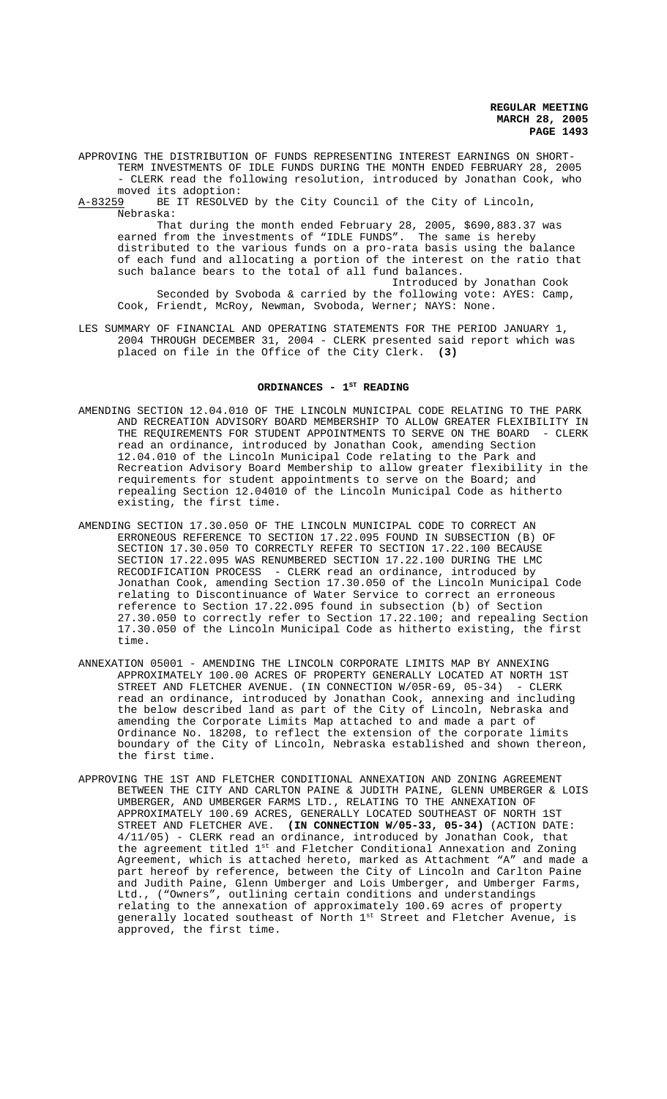APPROVING THE DISTRIBUTION OF FUNDS REPRESENTING INTEREST EARNINGS ON SHORT-TERM INVESTMENTS OF IDLE FUNDS DURING THE MONTH ENDED FEBRUARY 28, 2005 - CLERK read the following resolution, introduced by Jonathan Cook, who

moved its adoption:<br>A-83259 BE IT RESOLVE BE IT RESOLVED by the City Council of the City of Lincoln, Nebraska:

That during the month ended February 28, 2005, \$690,883.37 was earned from the investments of "IDLE FUNDS". The same is hereby distributed to the various funds on a pro-rata basis using the balance of each fund and allocating a portion of the interest on the ratio that such balance bears to the total of all fund balances.

Introduced by Jonathan Cook Seconded by Svoboda & carried by the following vote: AYES: Camp, Cook, Friendt, McRoy, Newman, Svoboda, Werner; NAYS: None.

LES SUMMARY OF FINANCIAL AND OPERATING STATEMENTS FOR THE PERIOD JANUARY 1, 2004 THROUGH DECEMBER 31, 2004 - CLERK presented said report which was placed on file in the Office of the City Clerk. **(3)**

## ORDINANCES - 1<sup>ST</sup> READING

- AMENDING SECTION 12.04.010 OF THE LINCOLN MUNICIPAL CODE RELATING TO THE PARK AND RECREATION ADVISORY BOARD MEMBERSHIP TO ALLOW GREATER FLEXIBILITY IN THE REQUIREMENTS FOR STUDENT APPOINTMENTS TO SERVE ON THE BOARD - CLERK read an ordinance, introduced by Jonathan Cook, amending Section 12.04.010 of the Lincoln Municipal Code relating to the Park and Recreation Advisory Board Membership to allow greater flexibility in the requirements for student appointments to serve on the Board; and repealing Section 12.04010 of the Lincoln Municipal Code as hitherto existing, the first time.
- AMENDING SECTION 17.30.050 OF THE LINCOLN MUNICIPAL CODE TO CORRECT AN ERRONEOUS REFERENCE TO SECTION 17.22.095 FOUND IN SUBSECTION (B) OF SECTION 17.30.050 TO CORRECTLY REFER TO SECTION 17.22.100 BECAUSE SECTION 17.22.095 WAS RENUMBERED SECTION 17.22.100 DURING THE LMC RECODIFICATION PROCESS - CLERK read an ordinance, introduced by Jonathan Cook, amending Section 17.30.050 of the Lincoln Municipal Code relating to Discontinuance of Water Service to correct an erroneous reference to Section 17.22.095 found in subsection (b) of Section 27.30.050 to correctly refer to Section 17.22.100; and repealing Section 17.30.050 of the Lincoln Municipal Code as hitherto existing, the first time.
- ANNEXATION 05001 AMENDING THE LINCOLN CORPORATE LIMITS MAP BY ANNEXING APPROXIMATELY 100.00 ACRES OF PROPERTY GENERALLY LOCATED AT NORTH 1ST STREET AND FLETCHER AVENUE. (IN CONNECTION W/05R-69, 05-34) - CLERK read an ordinance, introduced by Jonathan Cook, annexing and including the below described land as part of the City of Lincoln, Nebraska and amending the Corporate Limits Map attached to and made a part of Ordinance No. 18208, to reflect the extension of the corporate limits boundary of the City of Lincoln, Nebraska established and shown thereon, the first time.
- APPROVING THE 1ST AND FLETCHER CONDITIONAL ANNEXATION AND ZONING AGREEMENT BETWEEN THE CITY AND CARLTON PAINE & JUDITH PAINE, GLENN UMBERGER & LOIS UMBERGER, AND UMBERGER FARMS LTD., RELATING TO THE ANNEXATION OF APPROXIMATELY 100.69 ACRES, GENERALLY LOCATED SOUTHEAST OF NORTH 1ST STREET AND FLETCHER AVE. **(IN CONNECTION W/05-33, 05-34)** (ACTION DATE: 4/11/05) - CLERK read an ordinance, introduced by Jonathan Cook, that the agreement titled 1st and Fletcher Conditional Annexation and Zoning Agreement, which is attached hereto, marked as Attachment "A" and made a part hereof by reference, between the City of Lincoln and Carlton Paine and Judith Paine, Glenn Umberger and Lois Umberger, and Umberger Farms, Ltd., ("Owners", outlining certain conditions and understandings relating to the annexation of approximately 100.69 acres of property generally located southeast of North 1st Street and Fletcher Avenue, is approved, the first time.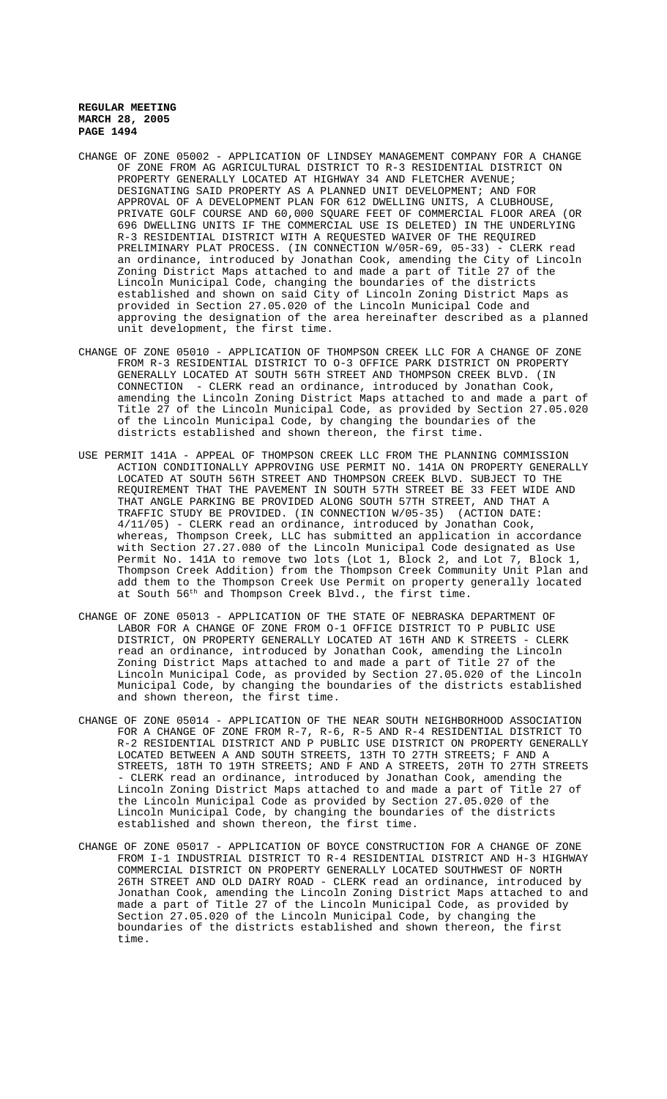- CHANGE OF ZONE 05002 APPLICATION OF LINDSEY MANAGEMENT COMPANY FOR A CHANGE OF ZONE FROM AG AGRICULTURAL DISTRICT TO R-3 RESIDENTIAL DISTRICT ON PROPERTY GENERALLY LOCATED AT HIGHWAY 34 AND FLETCHER AVENUE; DESIGNATING SAID PROPERTY AS A PLANNED UNIT DEVELOPMENT; AND FOR APPROVAL OF A DEVELOPMENT PLAN FOR 612 DWELLING UNITS, A CLUBHOUSE, PRIVATE GOLF COURSE AND 60,000 SQUARE FEET OF COMMERCIAL FLOOR AREA (OR 696 DWELLING UNITS IF THE COMMERCIAL USE IS DELETED) IN THE UNDERLYING R-3 RESIDENTIAL DISTRICT WITH A REQUESTED WAIVER OF THE REQUIRED PRELIMINARY PLAT PROCESS. (IN CONNECTION W/05R-69, 05-33) - CLERK read an ordinance, introduced by Jonathan Cook, amending the City of Lincoln Zoning District Maps attached to and made a part of Title 27 of the Lincoln Municipal Code, changing the boundaries of the districts established and shown on said City of Lincoln Zoning District Maps as provided in Section 27.05.020 of the Lincoln Municipal Code and approving the designation of the area hereinafter described as a planned unit development, the first time.
- CHANGE OF ZONE 05010 APPLICATION OF THOMPSON CREEK LLC FOR A CHANGE OF ZONE FROM R-3 RESIDENTIAL DISTRICT TO O-3 OFFICE PARK DISTRICT ON PROPERTY GENERALLY LOCATED AT SOUTH 56TH STREET AND THOMPSON CREEK BLVD. (IN CONNECTION - CLERK read an ordinance, introduced by Jonathan Cook, amending the Lincoln Zoning District Maps attached to and made a part of Title 27 of the Lincoln Municipal Code, as provided by Section 27.05.020 of the Lincoln Municipal Code, by changing the boundaries of the districts established and shown thereon, the first time.
- USE PERMIT 141A APPEAL OF THOMPSON CREEK LLC FROM THE PLANNING COMMISSION ACTION CONDITIONALLY APPROVING USE PERMIT NO. 141A ON PROPERTY GENERALLY LOCATED AT SOUTH 56TH STREET AND THOMPSON CREEK BLVD. SUBJECT TO THE REQUIREMENT THAT THE PAVEMENT IN SOUTH 57TH STREET BE 33 FEET WIDE AND THAT ANGLE PARKING BE PROVIDED ALONG SOUTH 57TH STREET, AND THAT A TRAFFIC STUDY BE PROVIDED. (IN CONNECTION W/05-35) (ACTION DATE: 4/11/05) - CLERK read an ordinance, introduced by Jonathan Cook, whereas, Thompson Creek, LLC has submitted an application in accordance with Section 27.27.080 of the Lincoln Municipal Code designated as Use Permit No. 141A to remove two lots (Lot 1, Block 2, and Lot 7, Block 1, Thompson Creek Addition) from the Thompson Creek Community Unit Plan and add them to the Thompson Creek Use Permit on property generally located at South 56th and Thompson Creek Blvd., the first time.
- CHANGE OF ZONE 05013 APPLICATION OF THE STATE OF NEBRASKA DEPARTMENT OF LABOR FOR A CHANGE OF ZONE FROM O-1 OFFICE DISTRICT TO P PUBLIC USE DISTRICT, ON PROPERTY GENERALLY LOCATED AT 16TH AND K STREETS - CLERK read an ordinance, introduced by Jonathan Cook, amending the Lincoln Zoning District Maps attached to and made a part of Title 27 of the Lincoln Municipal Code, as provided by Section 27.05.020 of the Lincoln Municipal Code, by changing the boundaries of the districts established and shown thereon, the first time.
- CHANGE OF ZONE 05014 APPLICATION OF THE NEAR SOUTH NEIGHBORHOOD ASSOCIATION FOR A CHANGE OF ZONE FROM R-7, R-6, R-5 AND R-4 RESIDENTIAL DISTRICT TO R-2 RESIDENTIAL DISTRICT AND P PUBLIC USE DISTRICT ON PROPERTY GENERALLY LOCATED BETWEEN A AND SOUTH STREETS, 13TH TO 27TH STREETS; F AND A STREETS, 18TH TO 19TH STREETS; AND F AND A STREETS, 20TH TO 27TH STREETS - CLERK read an ordinance, introduced by Jonathan Cook, amending the Lincoln Zoning District Maps attached to and made a part of Title 27 of the Lincoln Municipal Code as provided by Section 27.05.020 of the Lincoln Municipal Code, by changing the boundaries of the districts established and shown thereon, the first time.
- CHANGE OF ZONE 05017 APPLICATION OF BOYCE CONSTRUCTION FOR A CHANGE OF ZONE FROM I-1 INDUSTRIAL DISTRICT TO R-4 RESIDENTIAL DISTRICT AND H-3 HIGHWAY COMMERCIAL DISTRICT ON PROPERTY GENERALLY LOCATED SOUTHWEST OF NORTH 26TH STREET AND OLD DAIRY ROAD - CLERK read an ordinance, introduced by Jonathan Cook, amending the Lincoln Zoning District Maps attached to and made a part of Title 27 of the Lincoln Municipal Code, as provided by Section 27.05.020 of the Lincoln Municipal Code, by changing the boundaries of the districts established and shown thereon, the first time.